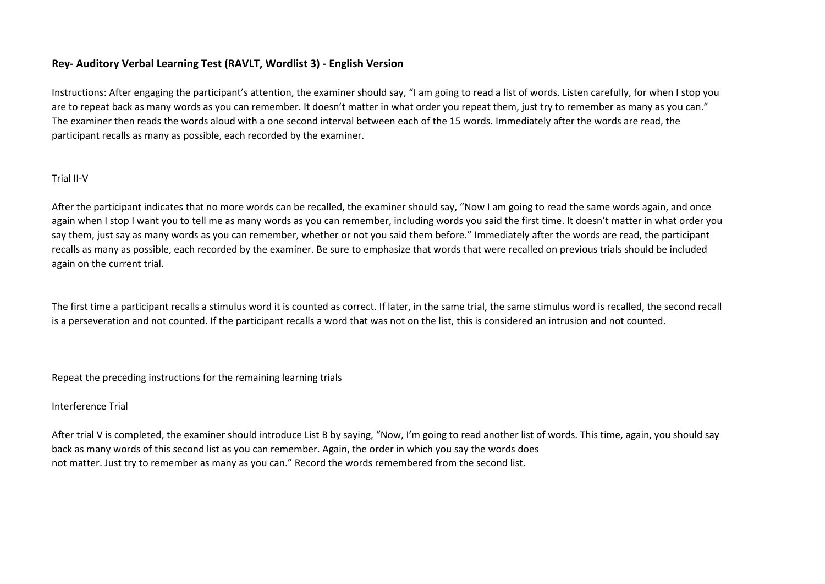# **Rey- Auditory Verbal Learning Test (RAVLT, Wordlist 3) - English Version**

Instructions: After engaging the participant's attention, the examiner should say, "I am going to read a list of words. Listen carefully, for when I stop you are to repeat back as many words as you can remember. It doesn't matter in what order you repeat them, just try to remember as many as you can." The examiner then reads the words aloud with a one second interval between each of the 15 words. Immediately after the words are read, the participant recalls as many as possible, each recorded by the examiner.

### Trial II-V

After the participant indicates that no more words can be recalled, the examiner should say, "Now I am going to read the same words again, and once again when I stop I want you to tell me as many words as you can remember, including words you said the first time. It doesn't matter in what order you say them, just say as many words as you can remember, whether or not you said them before." Immediately after the words are read, the participant recalls as many as possible, each recorded by the examiner. Be sure to emphasize that words that were recalled on previous trials should be included again on the current trial.

The first time a participant recalls a stimulus word it is counted as correct. If later, in the same trial, the same stimulus word is recalled, the second recall is a perseveration and not counted. If the participant recalls a word that was not on the list, this is considered an intrusion and not counted.

Repeat the preceding instructions for the remaining learning trials

### Interference Trial

After trial V is completed, the examiner should introduce List B by saying, "Now, I'm going to read another list of words. This time, again, you should say back as many words of this second list as you can remember. Again, the order in which you say the words does not matter. Just try to remember as many as you can." Record the words remembered from the second list.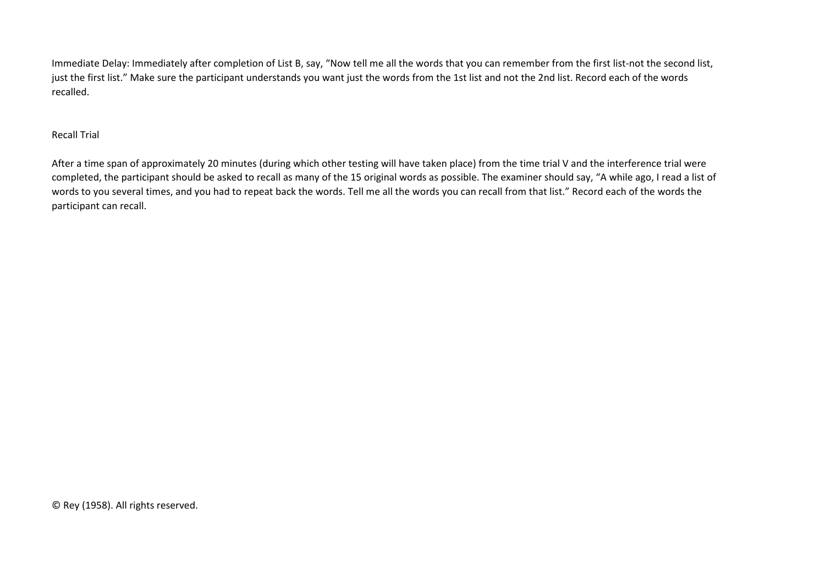Immediate Delay: Immediately after completion of List B, say, "Now tell me all the words that you can remember from the first list-not the second list, just the first list." Make sure the participant understands you want just the words from the 1st list and not the 2nd list. Record each of the words recalled.

# Recall Trial

After a time span of approximately 20 minutes (during which other testing will have taken place) from the time trial V and the interference trial were completed, the participant should be asked to recall as many of the 15 original words as possible. The examiner should say, "A while ago, I read a list of words to you several times, and you had to repeat back the words. Tell me all the words you can recall from that list." Record each of the words the participant can recall.

© Rey (1958). All rights reserved.